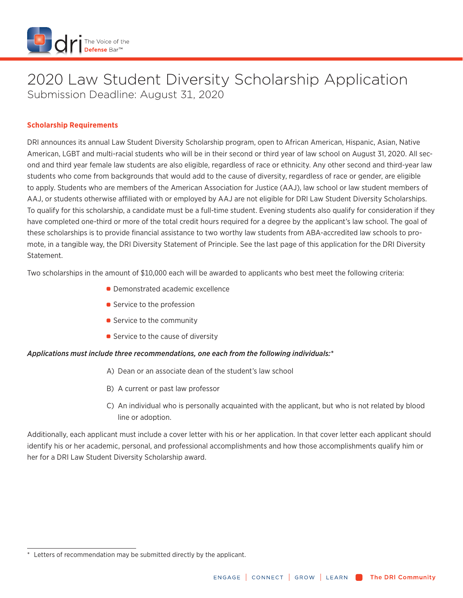

# 2020 Law Student Diversity Scholarship Application Submission Deadline: August 31, 2020

### **Scholarship Requirements**

DRI announces its annual Law Student Diversity Scholarship program, open to African American, Hispanic, Asian, Native American, LGBT and multi-racial students who will be in their second or third year of law school on August 31, 2020. All second and third year female law students are also eligible, regardless of race or ethnicity. Any other second and third-year law students who come from backgrounds that would add to the cause of diversity, regardless of race or gender, are eligible to apply. Students who are members of the American Association for Justice (AAJ), law school or law student members of AAJ, or students otherwise affiliated with or employed by AAJ are not eligible for DRI Law Student Diversity Scholarships. To qualify for this scholarship, a candidate must be a full-time student. Evening students also qualify for consideration if they have completed one-third or more of the total credit hours required for a degree by the applicant's law school. The goal of these scholarships is to provide financial assistance to two worthy law students from ABA-accredited law schools to promote, in a tangible way, the DRI Diversity Statement of Principle. See the last page of this application for the DRI Diversity Statement.

Two scholarships in the amount of \$10,000 each will be awarded to applicants who best meet the following criteria:

- **Demonstrated academic excellence**
- Service to the profession
- Service to the community
- Service to the cause of diversity

#### *Applications must include three recommendations, one each from the following individuals:\**

- A) Dean or an associate dean of the student's law school
- B) A current or past law professor
- C) An individual who is personally acquainted with the applicant, but who is not related by blood line or adoption.

Additionally, each applicant must include a cover letter with his or her application. In that cover letter each applicant should identify his or her academic, personal, and professional accomplishments and how those accomplishments qualify him or her for a DRI Law Student Diversity Scholarship award.

Letters of recommendation may be submitted directly by the applicant.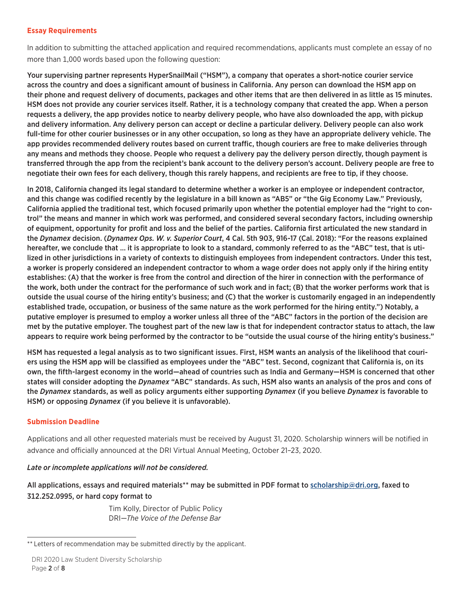#### **Essay Requirements**

In addition to submitting the attached application and required recommendations, applicants must complete an essay of no more than 1,000 words based upon the following question:

Your supervising partner represents HyperSnailMail ("HSM"), a company that operates a short-notice courier service across the country and does a significant amount of business in California. Any person can download the HSM app on their phone and request delivery of documents, packages and other items that are then delivered in as little as 15 minutes. HSM does not provide any courier services itself. Rather, it is a technology company that created the app. When a person requests a delivery, the app provides notice to nearby delivery people, who have also downloaded the app, with pickup and delivery information. Any delivery person can accept or decline a particular delivery. Delivery people can also work full-time for other courier businesses or in any other occupation, so long as they have an appropriate delivery vehicle. The app provides recommended delivery routes based on current traffic, though couriers are free to make deliveries through any means and methods they choose. People who request a delivery pay the delivery person directly, though payment is transferred through the app from the recipient's bank account to the delivery person's account. Delivery people are free to negotiate their own fees for each delivery, though this rarely happens, and recipients are free to tip, if they choose.

In 2018, California changed its legal standard to determine whether a worker is an employee or independent contractor, and this change was codified recently by the legislature in a bill known as "AB5" or "the Gig Economy Law." Previously, California applied the traditional test, which focused primarily upon whether the potential employer had the "right to control" the means and manner in which work was performed, and considered several secondary factors, including ownership of equipment, opportunity for profit and loss and the belief of the parties. California first articulated the new standard in the *Dynamex* decision. (*Dynamex Ops. W. v. Superior Court*, 4 Cal. 5th 903, 916-17 (Cal. 2018): "For the reasons explained hereafter, we conclude that … it is appropriate to look to a standard, commonly referred to as the "ABC" test, that is utilized in other jurisdictions in a variety of contexts to distinguish employees from independent contractors. Under this test, a worker is properly considered an independent contractor to whom a wage order does not apply onl[y if the hiring entity](mailto:scholarship@dri.org)  establishes: (A) that the worker is free from the control and direction of the hirer in connection with the performance of the work, both under the contract for the performance of such work and in fact; (B) that the worker performs work that is outside the usual course of the hiring entity's business; and (C) that the worker is customarily engaged in an independently established trade, occupation, or business of the same nature as the work performed for the hiring entity.") Notably, a putative employer is presumed to employ a worker unless all three of the "ABC" factors in the portion of the decision are met by the putative employer. The toughest part of the new law is that for independent contractor status to attach, the law appears to require work being performed by the contractor to be "outside the usual course of the hiring entity's business."

HSM has requested a legal analysis as to two significant issues. First, HSM wants an analysis of the likelihood that couriers using the HSM app will be classified as employees under the "ABC" test. Second, cognizant that California is, on its own, the fifth-largest economy in the world—ahead of countries such as India and Germany—HSM is concerned that other states will consider adopting the *Dynamex* "ABC" standards. As such, HSM also wants an analysis of the pros and cons of the *Dynamex* standards, as well as policy arguments either supporting *Dynamex* (if you believe *Dynamex* is favorable to HSM) or opposing *Dynamex* (if you believe it is unfavorable).

#### **Submission Deadline**

Applications and all other requested materials must be received by August 31, 2020. Scholarship winners will be notified in advance and officially announced at the DRI Virtual Annual Meeting, October 21–23, 2020.

#### *Late or incomplete applications will not be considered.*

All applications, essays and required materials\*\* may be submitted in PDF format to scholarship@dri.org, faxed to 312.252.0995, or hard copy format to

> Tim Kolly, Director of Public Policy DRI—*The Voice of the Defense Bar*

<sup>\*\*</sup> Letters of recommendation may be submitted directly by the applicant.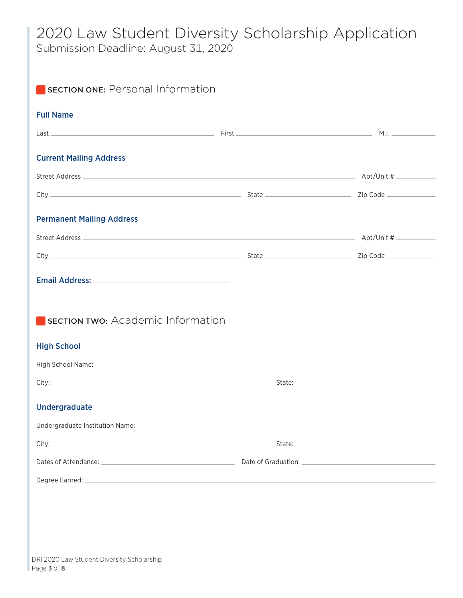# 2020 Law Student Diversity Scholarship Application

Submission Deadline: August 31, 2020

| <b>Full Name</b>                         |  |
|------------------------------------------|--|
| <b>Current Mailing Address</b>           |  |
|                                          |  |
|                                          |  |
| <b>Permanent Mailing Address</b>         |  |
|                                          |  |
|                                          |  |
|                                          |  |
|                                          |  |
|                                          |  |
| <b>SECTION TWO: Academic Information</b> |  |
|                                          |  |
|                                          |  |
|                                          |  |
| <b>High School</b><br>Undergraduate      |  |
|                                          |  |
|                                          |  |

Page 3 of 8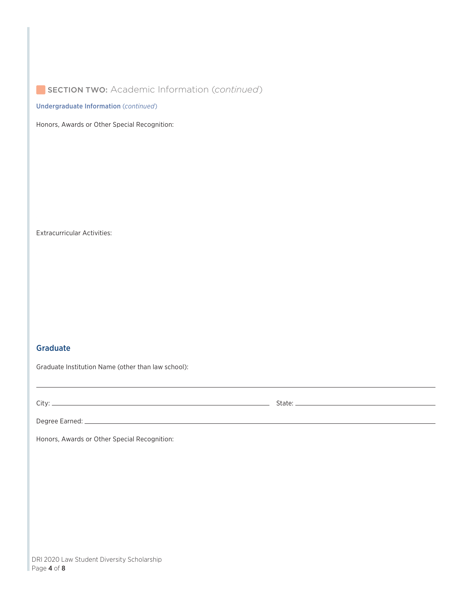## **SECTION TWO:** Academic Information (*continued*)

Undergraduate Information (*continued*)

Honors, Awards or Other Special Recognition:

Extracurricular Activities:

#### Graduate

Graduate Institution Name (other than law school):

City: State:

,我们也不会有一个人的人,我们也不会有一个人的人,我们也不会有一个人的人。""我们,我们也不会有一个人的人,我们也不会有一个人的人,我们也不会有一个人的人。""我

Degree Earned:

Honors, Awards or Other Special Recognition: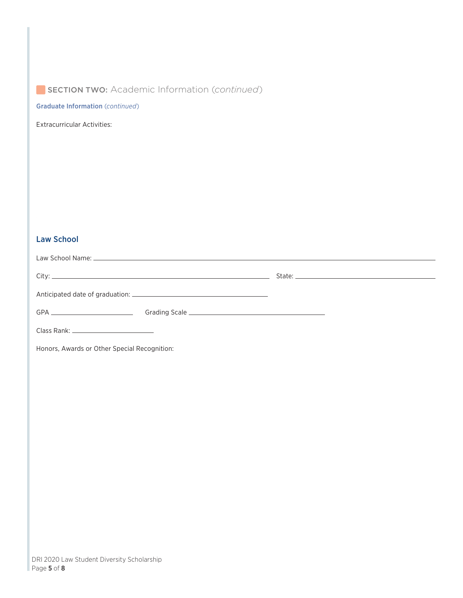## SECTION TWO: Academic Information (*continued*)

Graduate Information (*continued*)

Extracurricular Activities:

## Law School

| Class Rank: Class Rank: Class Rank: Class Rank: Class Rank: Class Rank: Class Rank: Class Rank: Class Rank: Cla |  |
|-----------------------------------------------------------------------------------------------------------------|--|
|                                                                                                                 |  |

Honors, Awards or Other Special Recognition: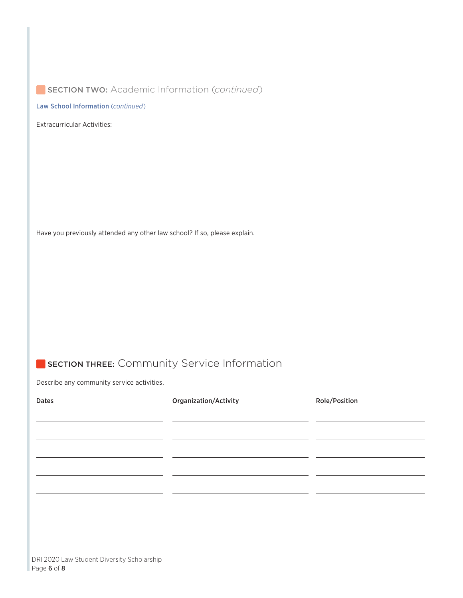## **SECTION TWO:** Academic Information (*continued*)

Law School Information (*continued*)

Extracurricular Activities:

Have you previously attended any other law school? If so, please explain.

## **SECTION THREE:** Community Service Information

Describe any community service activities.

| <b>Dates</b> | <b>Organization/Activity</b> | Role/Position |
|--------------|------------------------------|---------------|
|              |                              |               |
|              |                              |               |
|              |                              |               |
|              |                              |               |
|              |                              |               |
|              |                              |               |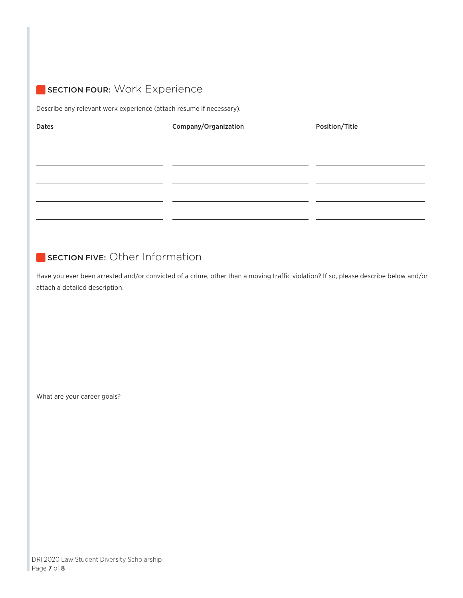## **SECTION FOUR: Work Experience**

Describe any relevant work experience (attach resume if necessary).

| <b>Dates</b> | Company/Organization | Position/Title |
|--------------|----------------------|----------------|
|              |                      |                |
|              |                      |                |
|              |                      |                |
|              |                      |                |
|              |                      |                |
|              |                      |                |
|              |                      |                |

## SECTION FIVE: Other Information

Have you ever been arrested and/or convicted of a crime, other than a moving traffic violation? If so, please describe below and/or attach a detailed description.

What are your career goals?